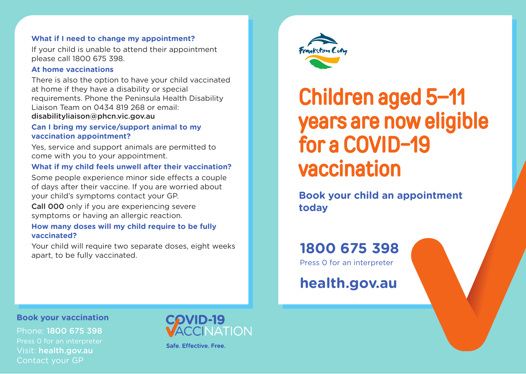#### **What if I need to change my appointment?**

If your child is unable to attend their appointment please call 1800 675 398.

#### **At home vaccinations**

There is also the option to have your child vaccinated at home if they have a disability or special requirements. Phone the Peninsula Health Disability Liaison Team on 0434 819 268 or email: disabilityliaison@phcn.vic.gov.au

#### **Can I bring my service/support animal to my vaccination appointment?**

Yes, service and support animals are permitted to come with you to your appointment.

#### **What if my child feels unwell after their vaccination?**

Some people experience minor side effects a couple of days after their vaccine. If you are worried about your child's symptoms contact your GP.

Call 000 only if you are experiencing severe symptoms or having an allergic reaction.

#### **How many doses will my child require to be fully vaccinated?**

Your child will require two separate doses, eight weeks apart, to be fully vaccinated.



# Children aged 5–11 years are now eligible for a COVID-19 vaccination

**Book your child an appointment today**

# **1800 675 398**

Press 0 for an interpreter

**health.gov.au**

**Book your vaccination**

Phone: 1800 675 398 Press 0 for an interpreter Visit: health.gov.au Contact your GP



Safe, Effective, Free,